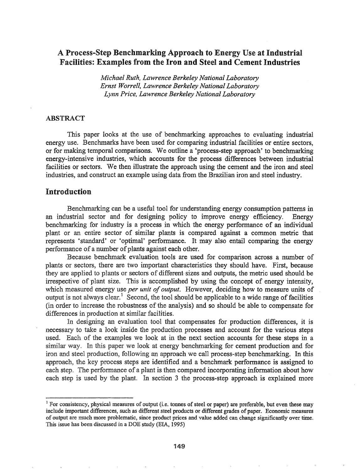# A Process-Step Benchmarking Approach to Energy Use at Industrial Facilities: Examples from the Iron and Steel and Cement Industries

*Michael Ruth, Lawrence Berkeley National Laboratory Ernst Worrell, Lawrence Berkeley National Laboratory Lynn Price, Lawrence Berkeley National Laboratory*

### ABSTRACT

This paper looks at the use of benchmarking approaches to evaluating industrial energy use. Benchmarks have been used for comparing industrial facilities or entire sectors, or for making temporal comparisons. We outline a 'process-step approach' to benchmarking energy-intensive industries, which accounts for the process differences between industrial facilities or sectors. We then illustrate the approach using the cement and the iron and steel industries, and construct an example using data from the Brazilian iron and steel industry..

# Introduction

Benchmarking can be a useful tool for understanding energy consumption patterns in an industrial sector and for designing policy to improve energy efficiency.. Energy benchmarking for industry is a process in which the energy performance of an individual plant or an entire sector of similar plants is compared against a common metric that represents 'standard' or 'optimal' performance.. It may also entail comparing the energy performance of a number of plants against each other.

Because benchmark evaluation tools are used for comparison across a number of plants or sectors, there are two important characteristics they should have.. First, because they are applied to plants or sectors of different sizes and outputs, the metric used should be irrespective of plant size. This is accomplished by using the concept of energy intensity, which measured energy use *per unit of output*. However, deciding how to measure units of output is not always clear.<sup>1</sup> Second, the tool should be applicable to a wide range of facilities (in order to increase the robustness of the analysis) and so should be able to compensate for differences in production at similar facilities.

In designing an evaluation tool that compensates for production differences, it is necessary to take a look inside the production processes and account for the various steps used.. Each of the examples we look at in the next section accounts for these steps in a similar way. In this paper we look at energy benchmarking for cement production and for iron and steel production, following an approach we call process-step benchmarking. In this approach, the key process steps are identified and a benchmark performance is assigned to each step. The performance of a plant is then compared incorporating information about how each step is used by the plant. In section 3 the process-step approach is explained more

<sup>&</sup>lt;sup>1</sup> For consistency, physical measures of output (i.e. tonnes of steel or paper) are preferable, but even these may include important differences, such as different steel products or different grades of paper. Economic measures of output are much more problematic, since product prices and value added can change significantly over time. This issue has been discussed in a DOE study (EIA, 1995)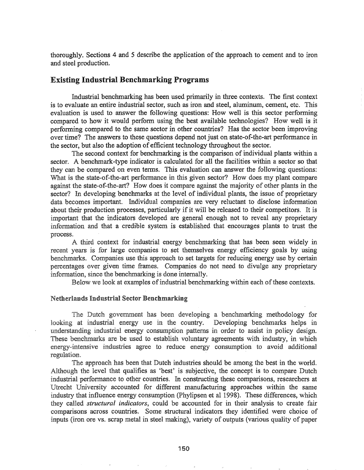thoroughly. Sections 4 and 5 describe the application of the approach to cement and to iron and steel production.

## Existing Industrial Benchmarking Programs

Industrial benchmarking has been used primarily in three contexts. The first context is to evaluate an entire industrial sector, such as iron and steel, aluminum, cement, etc. This evaluation is used to answer the following questions: How well is this sector performing compared to how it would perform using the best available technologies? How well is it performing compared to the same sector in other countries? Has the sector been improving over time? The answers to these questions depend not just on state-of-the-art performance in the sector, but also the adoption of efficient technology throughout the sector.

The second context for benchmarking is the comparison of individual plants within a sector. A benchmark-type indicator is calculated for all the facilities within a sector so that they can be compared on even terms. This evaluation can answer the following questions: What is the state-of-the-art performance in this given sector? How does my plant compare against the state-of-the-art? How does it compare against the majority of other plants in the sector? In developing benchmarks at the level of individual plants, the issue of proprietary data becomes important. Individual companies are very reluctant to disclose information about their production processes, particularly if it will be released to their competitors. It is important that the indicators developed are general enough not to reveal any proprietary information and that a credible system is established that encourages plants to trust the process.

A third context for industrial energy benchmarking that has been seen widely in recent years is for large companies to set themselves energy efficiency goals by using benchmarks. Companies use this approach to set targets for reducing energy use by certain percentages over given time frames. Companies do not need to divulge any proprietary information, since the benchmarking is done internally.

Below we look at examples of industrial benchmarking within each of these contexts.

### **Netherlands Industrial Sector Benchmarking**

The Dutch government has been developing a benchmarking methodology for looking at industrial energy use in the country. Developing benchmarks helps in understanding industrial energy consumption patterns in order to assist in policy design. These benchmarks are be used to establish voluntary agreements with industry, in which energy-intensive industries agree to reduce energy consumption to avoid additional regulation.

The approach has been that Dutch industries should be among the best in the world. Although the level that qualifies as 'best' is subjective, the concept is to compare Dutch industrial performance to other countries. In constructing these comparisons, researchers at University accounted for different manufacturing approaches within the same industry that influence energy consumption (Phylipsen et al 1998). These differences, which they called *structural indicators,* could be accounted for in their analysis to create fair comparisons across countries.. Some structural indicators they identified were choice of inputs (iron ore vs. scrap metal in steel making), variety of outputs (various quality of paper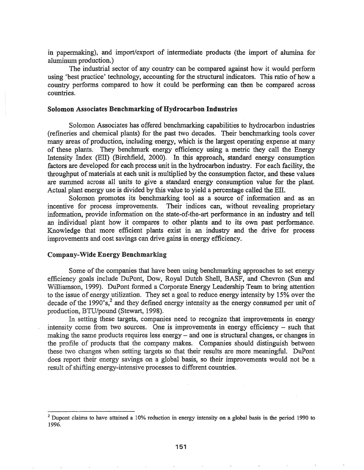in papermaking), and import/export of intennediate products (the import of alumina for aluminum production.)

The industrial sector of any country can be compared against how it would perform using 'best practice' technology, accounting for the structural indicators. This ratio of how a country performs compared to how it could be perfonning can then be compared across countries.

#### Solomon Associates Benchmarking of Hydrocarbon Industries

Solomon Associates has offered benchmarking capabilities to hydrocarbon industries (refineries and chemical plants) for the past two decades.. Their benchmarking tools cover many areas of production, including energy, which is the largest operating expense at many of these plants. They benchmark energy efficiency using a metric they call the Energy Intensity Index (Ell) (Birchfield, 2000). In this approach, standard energy consumption factors are developed for each process unit in the hydrocarbon industry. For each facility, the throughput ofmaterials at each unit is multiplied by the consumption factor, and these values are summed across all units to give a standard energy consumption value for the plant. Actual plant energy use is divided by this value to yield a percentage called the Ell.

Solomon promotes its benchmarking tool as a source of information and as an incentive for process improvements. Their indices can, without revealing proprietary information, provide information on the state-of-the-art performance in an industry and tell an individual plant how it compares to other plants and to its own past performance. Knowledge that more efficient plants exist in an industry and the drive for process improvements and cost savings can drive gains in energy efficiency.

### Company-Wide Energy Benchmarking

Some of the companies that have been using benchmarking approaches to set energy efficiency goals include DuPont, Dow, Royal Dutch Shell, BASF, and Chevron (Sun and Williamson, 1999). DuPont formed a Corporate Energy Leadership Team to bring attention' to the issue of energy utilization. They set a goal to reduce energy intensity by 15% over the decade of the  $1990^\circ$ s,<sup>2</sup> and they defined energy intensity as the energy consumed per unit of production, BTU/pound (Stewart, 1998).

In setting these targets, companies need to recognize that improvements in energy intensity come from two sources. One is improvements in energy efficiency - such that making the same products requires less energy – and one is structural changes, or changes in the profile of products that the company makes. Companies should distinguish between these two changes when setting targets so that their results are more meaningful. DuPont does report their energy savings on a global basis, so their improvements would not be a result of shifting energy-intensive processes to different countries.

<sup>&</sup>lt;sup>2</sup> Dupont claims to have attained a 10% reduction in energy intensity on a global basis in the period 1990 to 1996.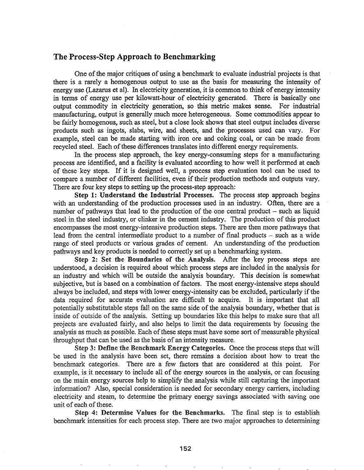# The Process-Step Approach to Benchmarking

One of the major critiques of using a benchmark to evaluate industrial projects is that there is a rarely a homogenous output to use as the basis for measuring the intensity of energy use (Lazarus et al). In electricity generation, it is common to think of energy intensity in terms of energy use per kilowatt-hour of electricity generated. There is basically one output commodity in electricity generation, so this metric makes sense. For industrial manufacturing, output is generally much more heterogeneous. Some commodities appear to be fairly homogenous, such as steel, but a close look shows that steel output includes diverse products such as ingots, slabs, wire, and sheets, and the processes used can vary. For example, steel can be made starting with iron ore and coking coal, or can be made from recycled steel. Each of these differences translates into different energy requirements.

In the process step approach, the key energy-consuming steps for a manufacturing process are identified, and a facility is evaluated according to how well it performed at each of these key steps. If it is designed well, a process step evaluation tool can be used to compare a number of different facilities, even if their production methods and outputs vary. There are four key steps to setting up the process-step approach:

Step 1: Understand the Industrial Processes. The process step approach begins with an understanding of the production processes used in an industry. Often, there are a number of pathways that lead to the production of the one central product – such as liquid steel in the steel industry, or clinker in the cement industry. The production of this product encompasses the most energy-intensive'production steps~ There are then more pathways that lead from the central intermediate product to a number of final products  $-$  such as a wide range of steel products or various grades of cement. An understanding of the production pathways and key products is needed to correctly set up a benchmarking system.

Step 2: Set the Boundaries of the Analysis. After the key process steps are understood, a decision is required about which process steps are included in the analysis for an industry and which will be outside the analysis boundary. This decision is somewhat subjective, but is based on a combination of factors. The most energy-intensive steps should always be included, and steps with lower energy-intensity can be excluded, particularly if the data required for accurate evaluation are difficult to acquire. It is important that all potentially substitutable steps fall on the same side of the analysis boundary, whether that is inside of outside of the analysis. Setting up boundaries like this helps to make sure that all projects are evaluated fairly, and also helps to limit the data requirements by focusing the analysis as much as possible. Each of these steps must have some sort of measurable physical throughput that can be used as the basis of an intensity measure.

Step 3: Define the Benchmark Energy Categories. Once the process steps that will be used in the analysis have been set, there remains a decision about how to treat the benchmark categories. There are a few factors that are considered at this point. For example, is it necessary to include all of the energy sources in the analysis, or can focusing on the main energy sources help to simplify the analysis while still capturing the important information? Also, special consideration is needed for secondary energy carriers, including electricity and steam, to determine the primary energy savings associated with saving one unit of each of these.

Step 4: Determine Values for the Benchmarks. The final step is to establish benchmark intensities for each process step. There are two major approaches to determining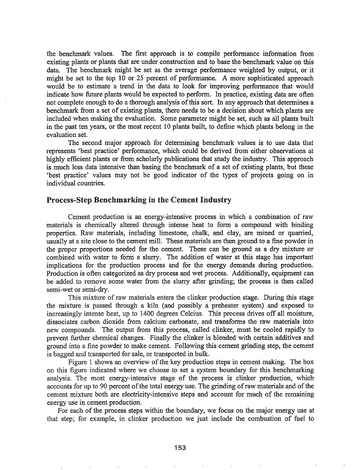the benchmark values~ The frrst approach is to compile performance information from existing plants or plants that are under construction and to base the benchmark value on this data. The benchmark might be set as the average performance weighted by output, or it might be set to the top 10 or 25 percent of performance. A more sophisticated approach would be to estimate a trend in the data to look for improving performance that would indicate how future plants would be expected to perform. In practice, existing data are often not complete enough to do a thorough analysis of this sort. In any approach that determines a benchmark from a set of existing plants, there needs to be a decision about which plants are included when making the evaluation. Some parameter might be set, such as all plants built in the past ten years, or the most recent 10 plants built, to define which plants belong in the evaluation set.

The second major approach for determining benchmark values is to use data that represents 'best practice' perfonnance, which could be derived from either observations at highly efficient plants or from scholarly publications that study the industry. This approach is much less data intensive than basing the benchmark of a set of existing plants, but these 'best practice' values may not be good indicator of the types of projects going on in individual countries..

### Process-Step Benchmarking in the Cement Industry

Cement production is an energy-intensive process in which a combination of raw materials is chemically altered through intense heat to form a compound with binding properties. Raw materials, including limestone, chalk, and clay, are mined or quarried, usually at a site close to the cement mill. These materials are then ground to a fine powder in the proper proportions needed for the cement. These can be ground as a dry mixture or combined with water to form a slurry. The addition of water at this stage has important implications for the production process and for the energy demands during production. Production is often categorized as dry process and wet process. Additionally, equipment can be added to remove some water from the slurry after grinding; the process is then called semi-wet or semi-dry.

This mixture of raw materials enters the clinker production stage. During this stage the mixture is passed through a kiln (and possibly a preheater system) and exposed to increasingly intense heat, up to 1400 degrees Celcius. This process drives off all moisture, dissociates carbon dioxide from calcium carbonate, and transforms the raw materials into new compounds. The output from this process, called clinker, must be cooled rapidly to prevent further chemical changes. Finally the clinker is blended with certain additives and ground into a fine powder to make cement. Following this cement grinding step, the cement is bagged and transported for sale, or transported in bulk.

Figure 1 shows an overview of the key production steps in cement making. The box on this figure indicated where we choose to set a system boundary for this benchmarking analysis. The most energy-intensive stage of the process is clinker production, which accounts for up to 90 percent of the total energy use. The grinding of raw materials and of the cement mixture both are electricity-intensive steps and account for much of the remaining energy use in cement production..

For each of the process steps within the boundary, we focus on the major energy use at step; for example, in clinker production we just include the combustion of fuel to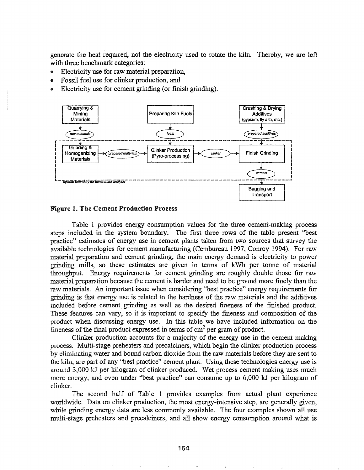generate the heat required, not the electricity used to rotate the kiln. Thereby, we are left with three benchmark categories:

- Electricity use for raw material preparation,
- Fossil fuel use for clinker production, and
- Electricity use for cement grinding (or finish grinding).



#### Figure 1. The Cement Production Process

Table 1 provides energy consumption values for the three cement-making process steps included in the system boundary. The frrst three rows of the table present "best practice" estimates of energy use in cement plants taken from two sources that survey the available technologies for cement manufacturing (Cembureau 1997, Conroy 1994). For raw material preparation and cement grinding, the main energy demand is electricity to power grinding mills, so these estimates are given in tenns of kWh per tonne of material throughput. Energy requirements for cement grinding are roughly double those for raw material preparation because the cement is harder and need to be ground more finely than the raw materials. An important issue when considering "best practice" energy requirements for grinding is that energy use is related to the hardness of the raw materials and the additives included before cement grinding as well as the desired fineness of the finished product. These features can vary, so it is important to specify the fineness and composition of the product when discussing energy use. this table we have included information on the fineness of the final product expressed in terms of  $\mathrm{cm}^2$  per gram of product.

Clinker production accounts for a majority of the energy use in the cement making process. Multi-stage preheaters and precalciners, which begin the clinker production process by eliminating water and bound carbon dioxide from the raw materials before they are sent to the kiln, are part of any "best practice" cement plant. Using these technologies energy use is around 3,000 kJ per kilogram of clinker produced. Wet process cement making uses much more energy, and even under "best practice" can consume up to 6,000 kJ per kilogram of clinker.

The second half of Table 1 provides examples from actual plant experience worldwide. Data on clinker production, the most energy-intensive step, are generally given, while grinding energy data are less commonly available. The four examples shown all use multi-stage preheaters and precalciners, and all show energy consumption around what is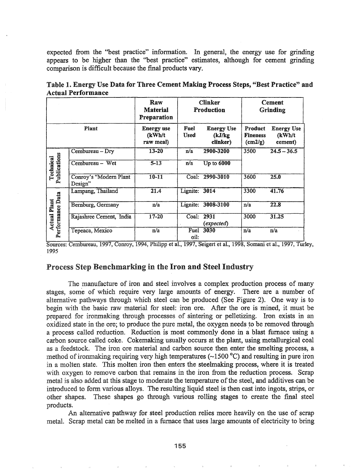expected from the "best practice" information. In general, the energy use for grinding appears to be higher than the "best practice" estimates, although for cement grinding comparison is difficult because the final products vary.

|                                          |                                   | Raw<br><b>Material</b><br>Preparation     | <b>Clinker</b><br>Production |                                          | Cement<br>Grinding                             |                                        |
|------------------------------------------|-----------------------------------|-------------------------------------------|------------------------------|------------------------------------------|------------------------------------------------|----------------------------------------|
| Plant                                    |                                   | <b>Energy use</b><br>(kWh/t)<br>raw meal) | Fuel<br>Used                 | <b>Energy Use</b><br>(kJ/kg)<br>clinker) | Product<br><b>Fineness</b><br>$\text{(cm2/g)}$ | <b>Energy Use</b><br>(kWh/t<br>cement) |
| Publications<br>Technical                | Cembureau - Dry                   | $13 - 20$                                 | n/a                          | 2900-3200                                | 3500                                           | $24.5 - 36.5$                          |
|                                          | Cembureau - Wet                   | $5 - 13$                                  | n/a                          | $Up$ to $6000$                           |                                                |                                        |
|                                          | Conroy's "Modern Plant<br>Design" | $10 - 11$                                 |                              | Coal: 2990-3010                          | 3600                                           | 25.0                                   |
| erformance Data<br>Plant<br>Actual<br>Ä. | Lampang, Thailand                 | 21.4                                      | Lignite: 3014                |                                          | 3300                                           | 41.76                                  |
|                                          | Bernburg, Germany                 | n/a                                       |                              | Lignite: 3008-3100                       | n/a                                            | 22.8                                   |
|                                          | Rajashree Cement, India           | 17-20                                     | Coal: 2931                   | (expected)                               | 3000                                           | 31.25                                  |
|                                          | Tepeaca, Mexico                   | n/a                                       | . .                          | Fuel 3030                                | n/a                                            | n/a                                    |

| Table 1. Energy Use Data for Three Cement Making Process Steps, "Best Practice" and |  |  |  |
|-------------------------------------------------------------------------------------|--|--|--|
| <b>Actual Performance</b>                                                           |  |  |  |

Sources: Cembureau, 1997, Conroy, 1994, Philipp et al., 1997, Seigert et al., 1998, Somani et al., 1997, Turley, 1995

# Process Step Benchmarking in the Iron and Steel Industry

The manufacture of iron and steel involves a complex production process of many stages, some of which require very large amounts of energy. There are a number of alternative pathways through which steel can be produced (See Figure 2). One way is to begin with the basic raw material for steel: iron ore.. After the ore is mined, it must be prepared for ironmaking through processes of sintering or pelletizing. Iron exists in an oxidized state in the ore; to produce the pure metal, the oxygen needs to be removed through a process called reduction. Reduction is most commonly done in a blast furnace using a carbon source called coke. Cokemaking usually occurs at the plant, using metallurgical coal as a feedstock. The iron ore material and carbon source then enter the smelting process, a method of ironmaking requiring very high temperatures ( $\sim$ 1500 °C) and resulting in pure iron in a molten state. This molten iron then enters the steelmaking process, where it is treated with oxygen to remove carbon that remains in the iron from the reduction process. Scrap metal is also added at this stage to moderate the temperature of the steel, and additives can be introduced to form various alloys. The resulting liquid steel is then cast into ingots, strips, or other shapes.. These shapes go through various rolling stages to create the final steel products.

An alternative pathway for steel production relies more heavily on the use of scrap metal.. Scrap metal can be melted in a furnace that uses large amounts of electricity to bring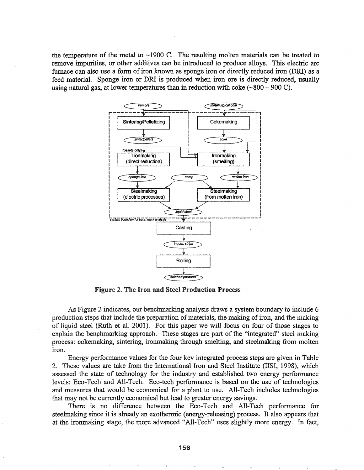the temperature of the metal to  $\sim$ 1900 C. The resulting molten materials can be treated to remove impurities, or other additives can be introduced to produce alloys. This electric arc furnace can also use a form of iron known as sponge iron or directly reduced iron (DRI) as a feed material. Sponge iron or DRl is produced when iron ore is directly reduced, usually using natural gas, at lower temperatures than in reduction with coke ( $\sim 800 - 900$  C).



Figure 2. The Iron and Steel Production Process

As Figure 2 indicates, our benchmarking analysis draws a system boundary to include 6 production steps that include the preparation of materials, the making of iron, and the making of liquid steel (Ruth et al. 2001). For this paper we will focus on four of those stages to explain the benchmarking approach. These stages are part of the "integrated" steel making process: cokemaking, sintering, iromnaking through smelting, and steelmaking from molten iron.

Energy performance values for the four key integrated process steps are given in Table 2. These values are take from the International Iron and Steel Institute (IISI, 1998), which assessed the state of technology for the industry and established two energy performance levels: Eco-Tech and All-Tech. Eco-tech performance is based on the use of technologies and measures that would be economical for a plant to use. All-Tech includes technologies that may not be currently economical but lead to greater energy savings.

There is no difference between the Eco-Tech and All-Tech performance for steelmaking since it is already an exothennic (energy-releasing) process. It also appears that at the ironmaking stage, the more advanced "All-Tech" uses slightly more energy. In fact,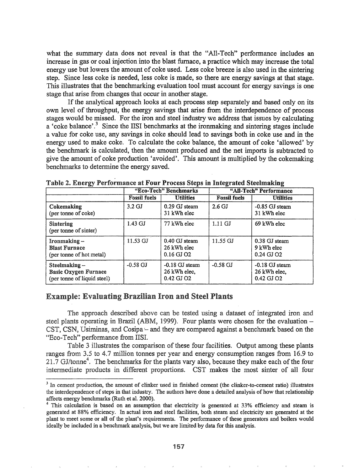what the summary data does not reveal is that the "AlI-Tech" performance includes an increase in gas or coal injection into the blast furnace, a practice which may increase the total energy use but lowers the amount of coke used. Less coke breeze is also used in the sintering step. Since less coke is needed, less coke is made, so there are energy savings at that stage. This illustrates that the benchmarking evaluation tool must account for energy savings is one stage that arise from changes that occur in another stage.

If the analytical approach looks at each process step separately and based only on its own level of throughput, the energy savings that arise from the interdependence of process stages would be missed. For the iron and steel industry we address that issues by calculating a 'coke balance'.<sup>3</sup> Since the IISI benchmarks at the ironmaking and sintering stages include a value for coke use, any savings in coke should lead to savings both in coke use and in the energy used to make coke. To calculate the coke balance, the amount of coke 'allowed' by the benchmark is calculated, then the amount produced and the net imports is subtracted to give the amount of coke production 'avoided'. This amount is multiplied by the cokemaking benchmarks to determine the energy saved.

|                                                                             | "Eco-Tech" Benchmarks     |                                                | "All-Tech" Performance |                                                |  |
|-----------------------------------------------------------------------------|---------------------------|------------------------------------------------|------------------------|------------------------------------------------|--|
|                                                                             | <b>Fossil fuels</b>       | <b>Utilities</b>                               | <b>Fossil fuels</b>    | <b>Utilities</b>                               |  |
| Cokemaking<br>(per tonne of coke)                                           | $3.2 \text{ GJ}$          | 0.29 GJ steam<br>31 kWh elec                   | $2.6 \text{ GJ}$       | $-0.85$ GJ steam<br>31 kWh elec                |  |
| <b>Sintering</b><br>(per tonne of sinter)                                   | $1.43 \text{ GJ}$         | 77 kWh elec                                    | $1.11$ GJ              | 69 kWh elec                                    |  |
| Ironmaking-<br><b>Blast Furnace</b><br>(per tonne of hot metal)             | $11.53 \text{ } \text{G}$ | 0.40 GJ steam<br>26 kWh elec<br>$0.16$ GJ $O2$ | $11.55 \,\mathrm{G}$   | 0.38 GJ steam<br>9 kWh elec<br>0.24 GJ O2      |  |
| Steelmaking -<br><b>Basic Oxygen Furnace</b><br>(per tonne of liquid steel) | $-0.58$ GJ                | $-0.18$ GJ steam<br>26 kWh elec,<br>0.42 GJ O2 | $-0.58 \text{ GJ}$     | $-0.18$ GJ steam<br>26 kWh elec,<br>0.42 GJ O2 |  |

Table 2. Energy Performance at Four Process Steps in Integrated Steelmaking

## Example: Evaluating Brazilian Iron and Steel Plants

The approach described above can be tested using a dataset of integrated iron and steel plants operating in Brazil (ABM, 1999). Four plants were chosen for the evaluation  $-$ CST, CSN, Usiminas, and Cosipa - and they are compared against a benchmark based on the "Eco-Tech" performance from IISI.

Table 3 illustrates the comparison of these four facilities. Output among these plants ranges from 3.5 to 4.7 million tonnes per year and energy consumption ranges from 16.9 to .7 GJ/tonne<sup>4</sup>. The benchmarks for the plants vary also, because they make each of the four intermediate products in different proportions. CST makes the most sinter of all four

<sup>&</sup>lt;sup>3</sup> In cement production, the amount of clinker used in finished cement (the clinker-to-cement ratio) illustrates the interdependence of steps in that industry. The authors have done a detailed analysis of how that relationship affects energy benchmarks (Ruth et al. 2000).

<sup>&</sup>lt;sup>4</sup> This calculation is based on an assumption that electricity is generated at 33% efficiency and steam is generated at 88% efficiency. In actual iron and steel facilities, both steam and electricity are generated at the plant to meet some or all of the plant's requirements. The performance of these generators and boilers would ideally be included in a benchmark analysis, but we are limited by data for this analysis.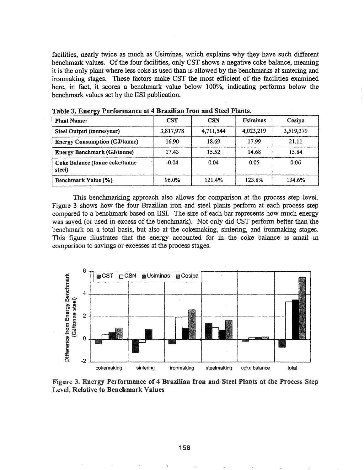facilities, nearly twice as much as Usiminas, which explains why they have such different benchmark values. Of the four facilities, only CST shows a negative coke balance, meaning it is the only plant where less coke is used than is allowed by the benchmarks at sintering and ironmaking stages. These factors make CST the most efficient of the facilities examined here, in fact, it scores a benchmark value below 100%, indicating perfonns below the benchmark values set by the IISI publication.

| <b>Plant Name:</b>                       | <b>CST</b> | <b>CSN</b> | <b>Usiminas</b> | Cosipa    |
|------------------------------------------|------------|------------|-----------------|-----------|
| <b>Steel Output (tonne/year)</b>         | 3,817,978  | 4,711,544  | 4,023,219       | 3,519,379 |
| <b>Energy Consumption (GJ/tonne)</b>     | 16.90      | 18.69      | 17.99           | 21.11     |
| <b>Energy Benchmark (GJ/tonne)</b>       | 17.43      | 15.52      | 14.68           | 15.84     |
| Coke Balance (tonne coke/tonne<br>steel) | $-0.04$    | 0.04       | 0.05            | 0.06      |
| <b>Benchmark Value (%)</b>               | 96.0%      | 121.4%     | 123.8%          | 134.6%    |

Table 3. Energy Performance at 4 Brazilian Iron and Steel Plants.

This benchmarking approach also allows for comparison at the process step level. Figure 3 shows how the four Brazilian iron and steel plants perform at each process step compared to a benchmark based on IISI. The size of each bar represents how much energy was saved (or used in excess of the benchmark). Not only did CST perform better than the benchmark on a total basis, but also at the cokemaking, sintering, and ironmaking stages. This figure illustrates that the energy accounted for in· the coke balance is small in comparison to savings or excesses at the process stages..



Figure 3. Energy Performance of 4 Brazilian Iron and Steel Plants at the Process Step Level, Relative to Benchmark Values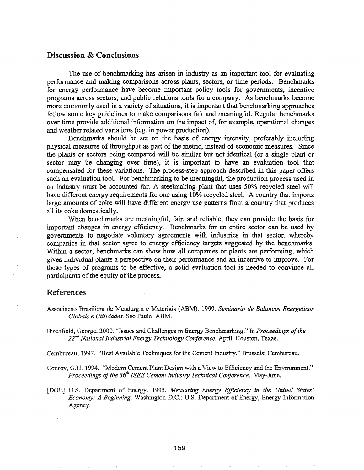### Discussion & Conclusions

The use of benchmarking has arisen in industry as an important tool for evaluating performance and making comparisons across plants, sectors, or time periods. Benchmarks for energy performance have become important policy tools for governments, incentive programs across sectors, and public relations tools for a company. As benchmarks become more commonly used in a variety of situations, it is important that benchmarking approaches follow some key guidelines to make comparisons fair and meaningful. Regular benchmarks over time provide additional infonnation on the impact ot: for example, operational changes and weather related variations (e.g. in power production).

Benchmarks should be set on the basis of energy intensity, preferably including physical measures of throughput as part of the metric, instead of economic measures. Since the plants or sectors being compared will be similar but not identical (or a single plant or sector may be changing over time), it is important to have an evaluation tool that compensated for these variations. The process-step approach described in this paper offers such an evaluation tool. For benchmarking to be meaningful, the production process used in an industry must be accounted for. A steelmaking plant that uses 50% recycled steel will have different energy requirements for one using 10% recycled steel.. A country that imports large amounts of coke will have different energy use patterns from a country that produces all its coke domestically.

When benchmarks are meaningful, fair, and reliable, they can provide the basis for important changes in energy efficiency. Benchmarks for an entire sector can be used by governments to negotiate voluntary agreements with industries in that sector, whereby companies in that sector agree to energy efficiency targets suggested by the benchmarks. Within a sector, benchmarks can show how all companies or plants are performing, which gives individual plants a perspective. on their performance and an incentive to improve. For these types of programs to be effective, a solid evaluation tool is needed to convince all participants of the equity of the process.

### References

Associacao Brasilierade Metalurgia e Materiais (ABM). 1999. *Seminario de Balancos Energeticos Globais e Utilidades.* Sao Paulo: ABM.

Birchfield, George. 2000. "Issues and Challenges in Energy Benchmarking." In *Proceedings ofthe 22nd National Industrial Energy Technology Conference.* ApriL Houston, Texas.

Cembureau, 1997. "Best Available Techniques for the Cement Industry." Brussels: Cembureau.

1994. "Modem Cement Plant Design with a View to Efficiency and the Environment." *Proceedings of the*  $36<sup>th</sup> *IEEE Cement Industry Technical Conference.* May-June.$ 

u.s. Department of Energy.. 1995. *Measuring Energy Efficiency in the United States' Economy: A Beginning.* Washington D.C..: U.S.. Department of Energy, Energy Information Agency.